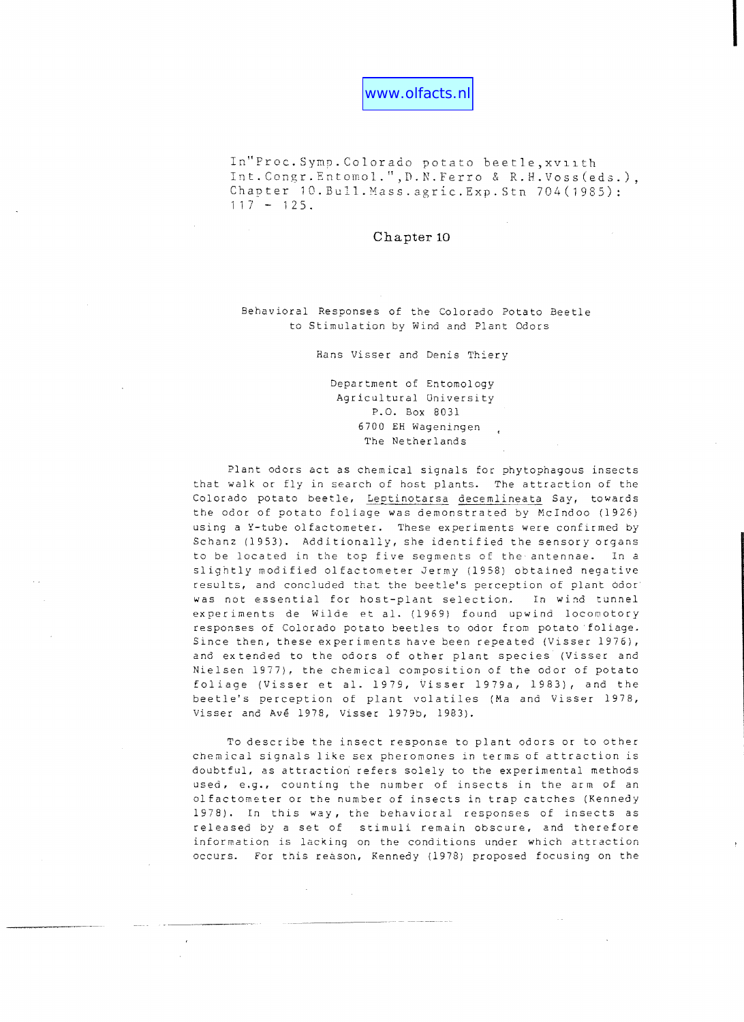In"Proc. Symp. Colorado potato beetle, xviith Int.Congr.Entomol.",D.N.Ferro & R.H.Voss(eds.), Chapter 10.Bull.Mass.agric.Exp.Stn 704(1985):  $117 - 125$ .

# **Chapter 10**

Behav ioral Responses of the Colorado Potato Beetle to Stimulation by Wind and Plant Odors

Hans Visser and Denis Thiery

Department of Entomology Agricultural University **P.O.** Box 8031 6700 BH Wageningen The Netherlands

Plant odors act as chemical signals for phytophagous insects that walk or fly in search of host plants. The attraction of the Colorado potato beetle, Leptinotarsa decemlineata Say, towards the odor of potato foliage was demonstrated by McIndoo (1926) using a Y-tube olfactometer. These experiments were confirmed by Schanz (1953). Additionally, she identified the sensory organs to be located in the top five segments of the antennae. In a slightly modified olfactometer Jermy (1958) obtained negative results, and concluded that the beetle's perception of plant odor was not essential for host-plant selection. In wind tunnel experiments de Wilde et a1. (1969) found upwind locomotory responses of Colorado potato beetles to odor from potato foliage. Since then, these experiments have been repeated (Visser 1976), and extended to the odors of other plant species (Visser and Nielsen 1977), the chemical composition of the odor of potato foliage (Visser et al. 1979, Visser 1979a, 1983), and the beetle's perception of plant volatiles (Ma and Visser 1978, Visser and Ave 1978, Visser 1979b, 1983).

To describe the insect response to plant odors or to other chemical signals like sex pheromones in terms of attraction is doubtful, as attraction refers solely to the experimental methods used, **e.g.,** counting the number of insects in the arm of an olfactometer or the number of insects in trap catches (Kennedy 1978). In this way, the behavioral responses of insects as released by a set of stimuli remain obscure, and therefore information is lacking on the conditions under which attraction occurs. For this reason, Kennedy (1978) proposed focusing on the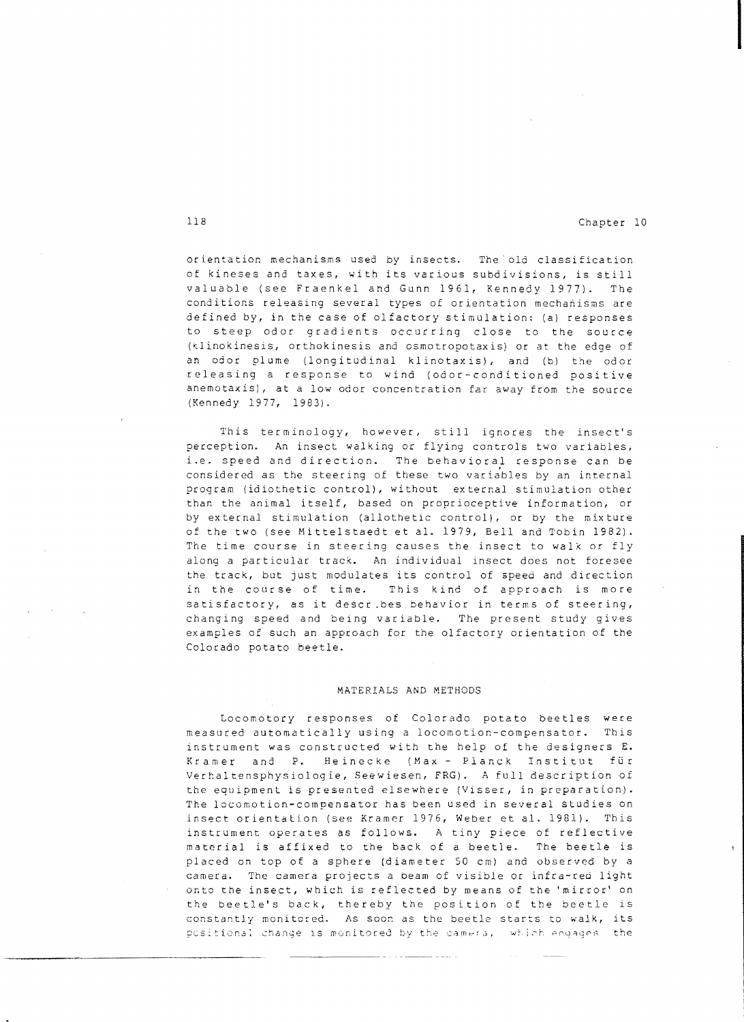orientation mechanisms used by insects. The old classification of kineses and taxes, with its various subdivisions, is still valuable (see rraenkel and Gunn 1961, Kennedy 1977). The conditions releasing several types of orientation mechanisms are defined by, in the case of olfactory stimulation: (a) responses to steep odor gradients occurring close to the source (klinokinesis, orthokinesis and osmotropotaxis) or at the edge of an odor plume (longitudinal klinotaxis), and (b) the odor releasing a response to wind (odor-conditioned positive anemotaxis), at a low odor concentration far away from the source (Kennedy 1977, 1983).

This terminology, however, still ignores the insect's perception. An insect walking or flying controls two variables, i.e. speed and direction. The behavioral response can be considered as the steering of these two variables by an internal program (idiothetic control), without external stimulation other than the animal itself, based on proprioceptive information, or by external stimulation (allothetic control), or by the mixture of the two (see Mittelstaedt et al. 1979, Bell and Tobin 1982). The time course in steering causes the insect to walk or fly along a particular track. An individual insect does not foresee the track, but just modulates its control of speed and direction in the course of time. This kind of approach is more satisfactory, as it describes behavior in terms of steering, changing speed and being variable. The present study gives examples of such an approach for the olfactory orientation of the Colorado potato beetle.

#### MATERIALS AND METHODS

Locomotory responses of Colorado potato beetles were measured automatically using a locomotion compensator. This instrument was constructed with the help of the designers E. Kramer and P. Heinecke (Max - Planck Institut für Verhaltensphysiologie, Seewiesen, FRG). A full description of the equipment is presented elsewhere (Visser, in preparation). The locomotion-compensator has been used in several studies on insect orientation (see Kramer 1976, Weber et a1. 1981). This instrument operates as follows. A tiny piece of reflective material is affixed to the back of a beetle. The beetle is placed on top of a sphere (diameter 50 cm) and observed by a camera. The camera projects a beam of visible or infra-red light onto the insect, which is reflected by means of the 'mirror' on the beetle's back, thereby the position of the beetle is constantly monitored. As soon as the beetle starts to walk, its pcsitional change is monitored by the camera, which engages the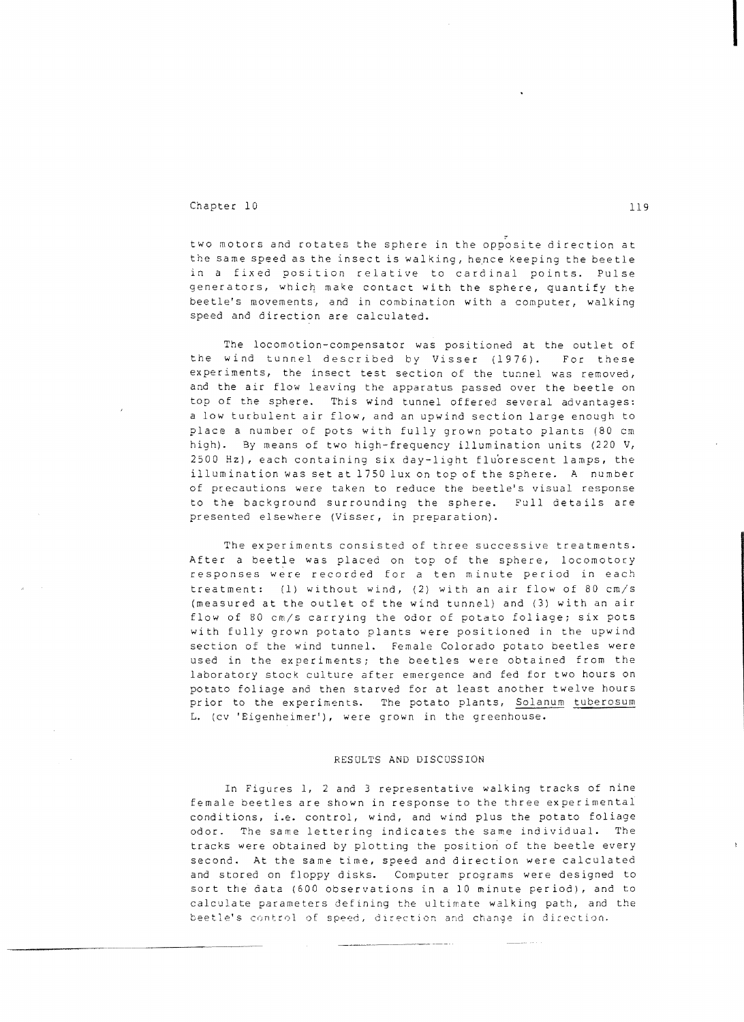### Chapter 10 119

.-~-----~-.~~~

two motors and rotates the sphere in the opposite direction at the same speed as the insect is walking, hence keeping the beetle in a fixed position relative to cardinal points. Pulse generators, which, make contact with the sphere, quantify the beetle's movements, and in combination with a computer, walking speed and direction are calculated.

The locomotion-compensator was positioned at the outlet of the wind tunnel described by Visser (1976). For these experiments, the insect test section of the tunnel was removed, and the air flow leaving the apparatus passed over the beetle on top of the sphere. This wind tunnel offered several advantages: a low turbulent air flow, and an upwind section large enough to place a number of pots with fully grown potato plants (80 cm high). By means of two high-frequency illumination units (220 V, 2500 Hz), each containing six day-light flu'orescent lamps, the illumination was set at 1750 lux on top of the sphere. A number of precautions were taken to reduce the beetle's visual response to the background surrounding the sphere. Full details are presented elsewhere (Visser, in preparation).

The experiments consisted of three successive treatments. After a beetle was placed on top of the sphere, locomotory responses were recorded for a ten minute period in each treatment: (1) without wind, (2) with an air flow of 80 cm/s (measured at the outlet of the wind tunnel) and (3) with an air flow of 80 cm/s carrying the odor of potato foliage; six pots with fully grown potato plants were positioned in the upwind section of the wind tunnel. Female Colorado potato beetles were used in the experiments; the beetles were obtained from the laboratory stock culture after emergence and fed for two hours on potato foliage and then starved for at least another twelve hours prior to the experiments. The potato plants, Solanum tuberosum L. (cv 'Eigenheimer'), were grown in the greenhouse.

#### RESOLTS AND DISCOSSION

In Figures I, 2 and 3 representative walking tracks of nine female beetles are shown in response to the three experimental conditions, i.e. control, wind, and wind plus the potato foliage odor. The same lettering indicates the same individual. The tracks were obtained by plotting the position of the beetle every second. At the same time, speed and direction were calculated and stored on floppy disks. Computer programs were designed to sort the data (600 observations in a 10 minute period), and to calculate parameters defining the ultimate walking path, and the beetle's control of speed, direction and change in direction.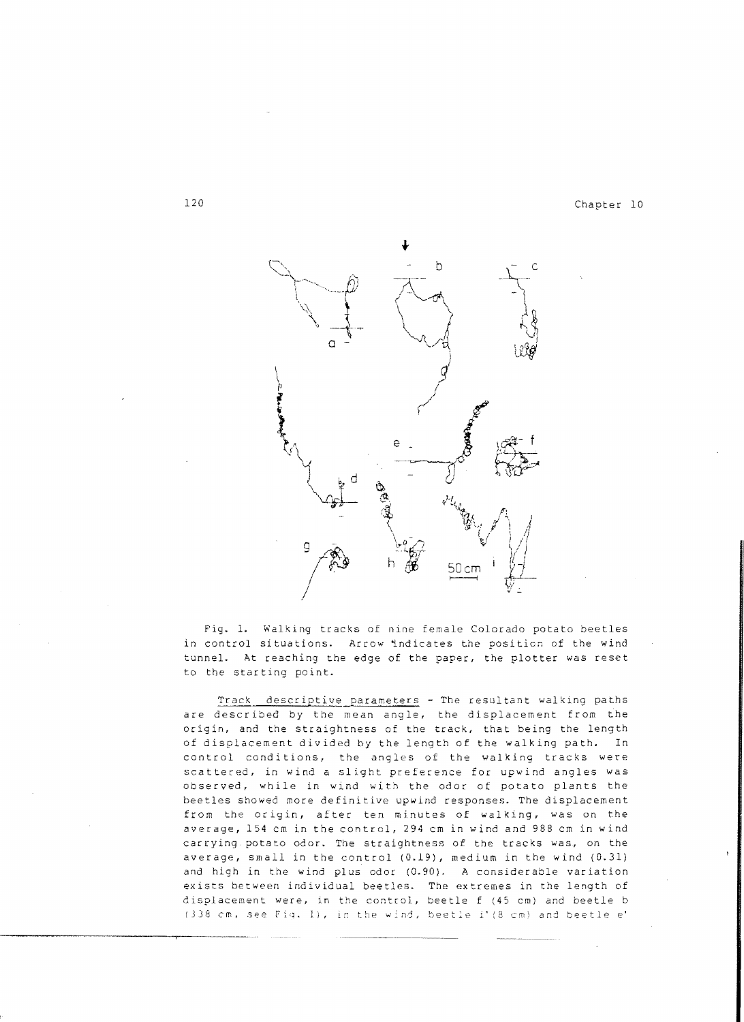

Fig. 1. Walking tracks of nine female Colorado potato beetles in control situations. Arrow indicates the position of the wind tunnel. At reaching the edge of the paper, the plotter was reset to the starting point.

Track descriptive parameters - The resultant walking paths are described by the mean angle, the displacement from the origin, and the straightness of the track, that being the length of displacement divided by the length of the walking path. In control conditions, the angles of the walking tracks were scattered, in wind a slight preference for upwind angles was Observed, while in wind with the odor ot potato plants the beetles showed more definitive upwind responses. The displacement from the origin, after ten minutes of walking, was on the average, 154 em in the control, 294 em in wind and 988 em in wind carrying potato odor. The straightness of the tracks was, on the average, small in the control (0.19), medium in the wind (0.31) and high in the wind plus odor (0.90). A considerable variation exists between individual beetles. The extremes in the length of displacement were, in the control, beetle f (45 cm) and beetle b (338 cm, see Fig. 1), in the wind, beetle i'(8 cm) and beetle e'

-----~-------...--~....-~---.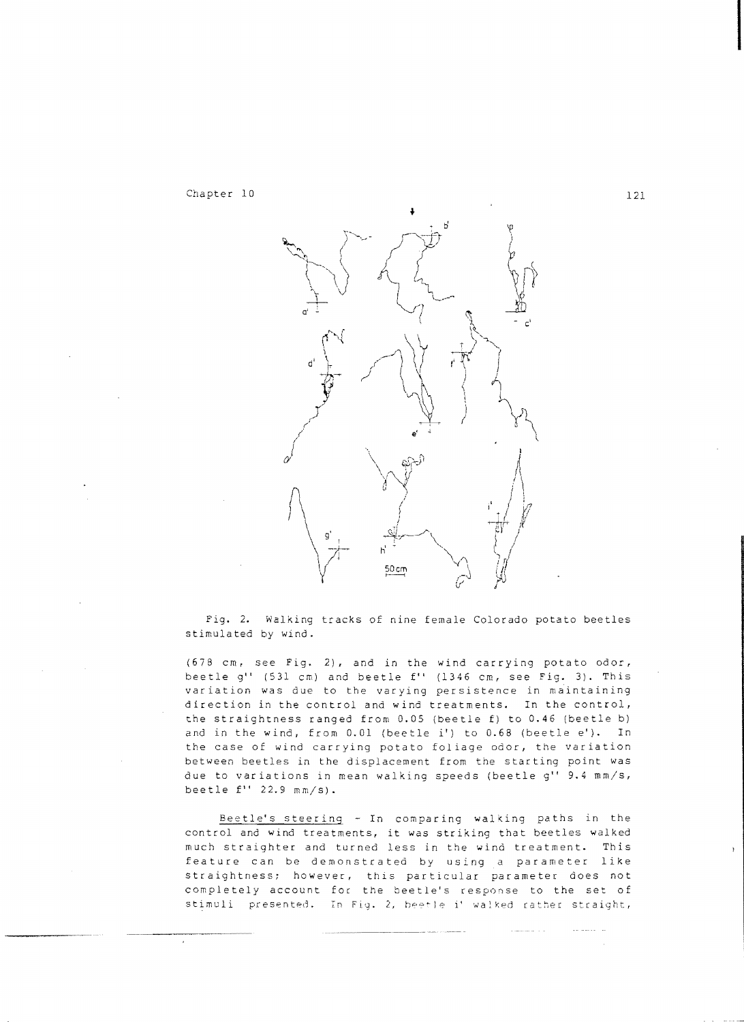

Fig. 2. Walking tracks o£ nine female Colorado potato beetles stimulated by wind.

(678 cm, see Fig. 2), and in the wind carrying potato odo:, beetle g'' (531 cm) and beetle f'' (1346 cm, see Fig. 3). This variation was due to the varying persistence in maintaining direction in the control and wind treatments. In the control, the straightness ranged from 0.05 (beetle f) to 0.46 (beetle b) and in the wind, from 0.01 (beetle i') to 0.68 (beetle e'l. In the case of wind carrying potato foliage odor, the variation between beetles in the displacement from the starting point was due to variations in mean walking speeds (beetle g" 9.4 mm/s, beetle  $f''$  22.9  $mm/s$ .

Beetle's steering - In comparing walking paths in the control and wind treatments, it was striking that beetles walked much straighter and turned less in the wind treatment. This feature can be demonstrated by using a parameter like straightness; however, this particular parameter does not completely account foc the beetle's response to the set of stimuli presented. In Fig. 2, beetle i' walked rather straight,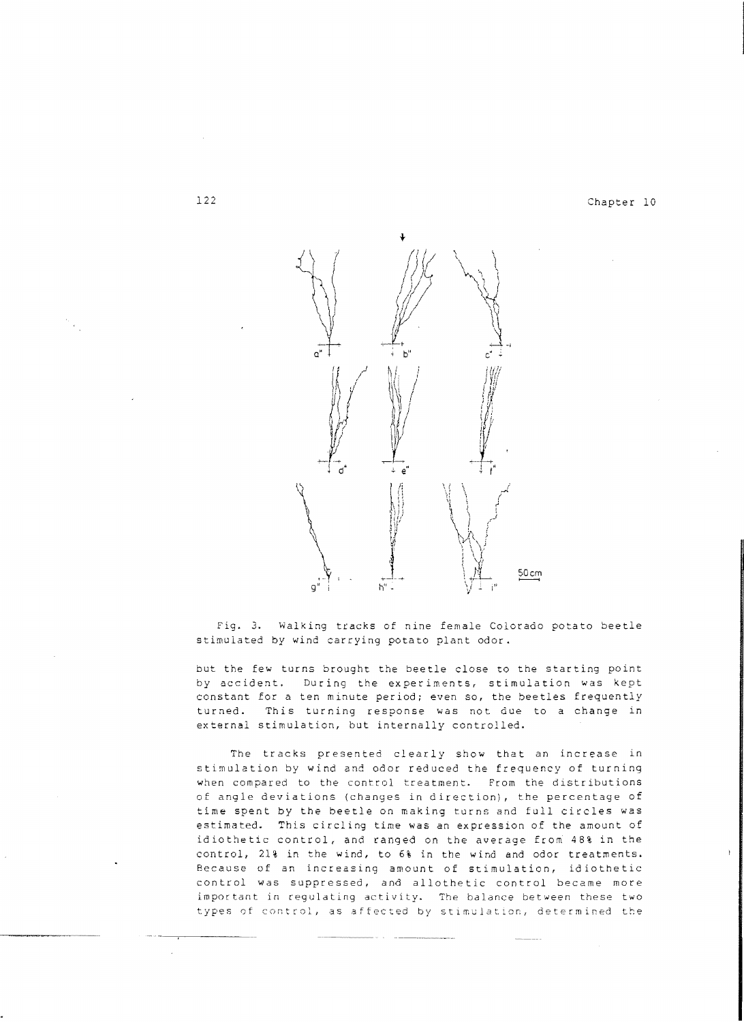

Fig. 3. Walking tracks of nine female Colorado potato beetle stimulated by wind carrying potato plant odor.

but the few turns brought the beetle close to the starting point by accident. DUring the experiments, stimulation was kept constant for a ten minute period; even so, the beetles frequently turned. This turning response was not due to a change in external stimulation, but internally controlled.

The tracks presented clearly show that an increase in stimulation by wind and odor reduced the frequency of turning when compared to the control treatment. From the distributions of angle deviations (changes in direction), the percentage of time spent by the beetle on making turns and full circles was estimated. This circling time was an expression of the amount of idiothetic control, and ranged on the average from 48% in the control, 21% in the wind, to 6% in the wind and odor treatments. Because of an increasing amount of stimulation, idiothetic control was suppressed, and allothetic control became more important in regUlating activity. The balance between these two types of control, as affected by stimulation, determined the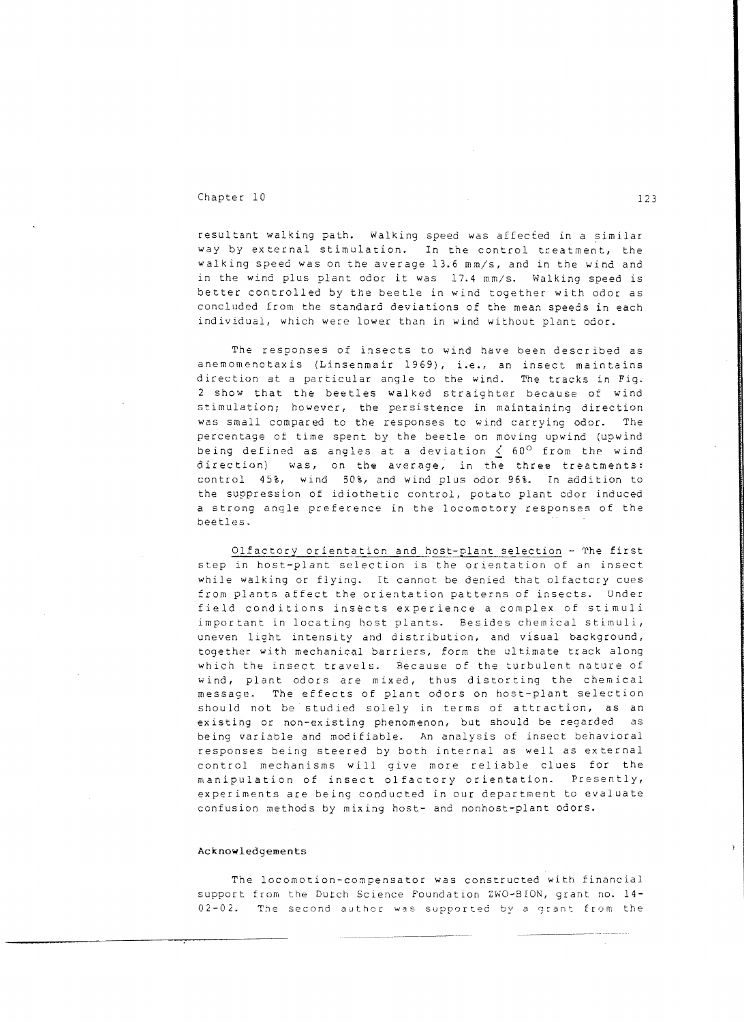## Chapter 10 123

resultant walking path. Walking speed was affected in a similar way by external stimulation. In the control treatment, the walking speed was on the average 13.6 mm/s, and in the wind and in the wind plus plant odor it was 17.4 mm/s. Walking speed is better controlled by the beetle in wind together with odor as concluded from the standard deviations of the mean speeds in each individual, which were lower than in wind without plant odor.

The responses of insects to wind have been described as anemomenotaxis (Linsenmair 1969), i.e., an insect maintains direction at a particular angle to the wind. The tracks in Fig. 2 show that the beetles walked straighter because of wind stimulation; however, the persistence in maintaining direction was small compared to the responses to wind carrying odor. The percentage of time spent by the beetle on moving upwind (upwind being defined as angles at a deviation  $\leq$  60° from the wind direction) was, on the average, in the three treatments: control 45%, wind 50%, and wind plus odor 96%. In addition to the suppression of idiothetic control, potato plant odor induced a strong angle preference in the locomotory responses of the beetles.

Olfactory orientation and host-plant selection - The first step in host-plant selection is the orientation of an insect while walking or flying. It cannot be denied that olfactory cues from plants affect the orientation patterns of insects. Under field conditions insects experience a complex of stimuli important in locating host plants. Besides chemical stimuli, uneven light intensity and distribution, and visual background, together with mechanical barriers, form the ultimate track along which the insect travels. Because of the turbulent nature of wind, plant odors are mixed, thus distorting the chemical message. The effects of plant odors on host-plant selection should not be studied solely in terms of attraction, as an existing or non-existing phenomenon, but should be regarded as being variable and modifiable. An analysis of insect behavioral responses being steered by both internal as well as external control mechanisms will give more reliable clues for the manipulation of insect olfactory orientation. Presently, experiments are being conducted in our department to evaluate confusion methods by mixing host- and nonhost-plant odors.

#### Acknowledgements

The locomotion-compensator was constructed with financial support from the Dutch Science Foundation ZWO-BION, grant no. 14 02-02. The second author was supported by a grant from the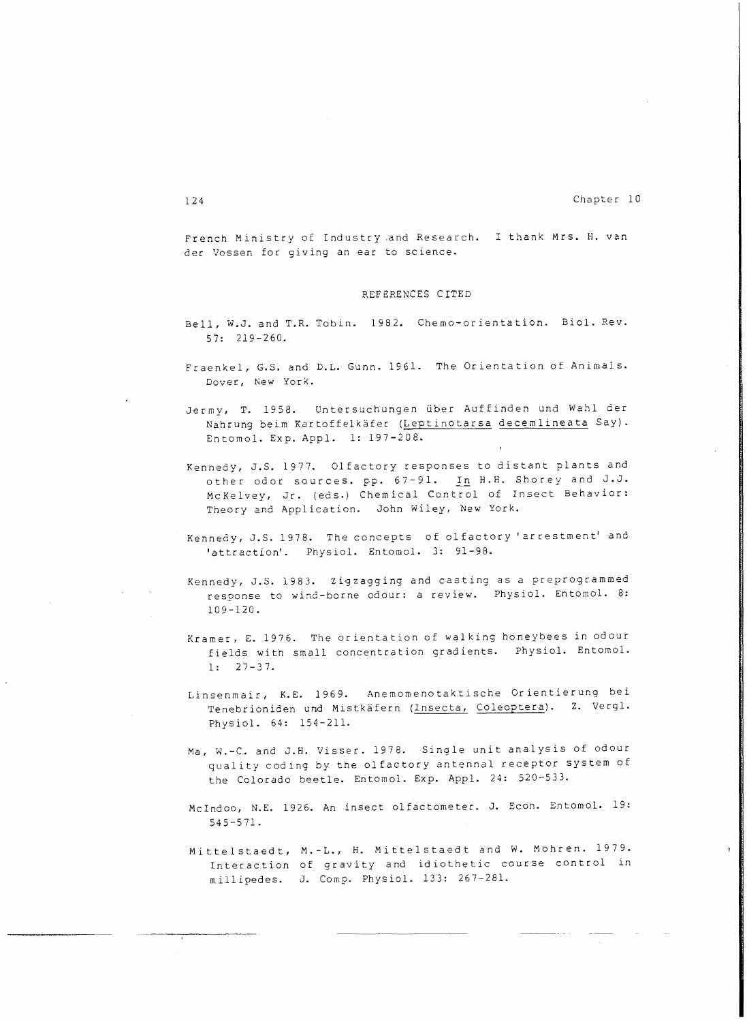French Ministry of Industry ,and Research. I thank Mrs. H. van der Vossen for giving an ear to science.

#### REFERENCES CITED

- Bell, W.J. and T.R. Tobin. 1982. Chemo-orientation. BioI. Rev. 57: 219-260.
- Fraenkel, G.S. and D.L. Gunn. 1961. The Orientation of Animals. Dover, New York.
- Jermy, T. 1958. Untersuchungen über Auffinden und Wahl der Nahrung beim Kartoffelkäfer (Leptinotarsa decemlineata Say). Entomo1. Exp. App1. 1: 197-208.
- Kennedy, J.S. 1977. Olfactory responses to distant plants and other odor sources. pp. 67-91. In H.H. Shorey and J.J. McKelvey, Jr. (eds.) Chemical Control of Insect Behavior: Theory and Application. John Wiley, New York.
- Kennedy, J.S. 1978. The concepts of olfactory 'arrestment' a **no**  'attraction'. Physio1. Entomol. 3: 91-98.
- Kennedy, J.S. 1983. Zigzagging and casting as a preprogrammed response to wind-borne odour: a review. Physiol. Entomol. 8: 109-120.
- Kramer, E. 1976. The orientation of walking honeybees in odour fields with small concentration gradients. Physio1. Entomol. 1: 27-37.
- Linsenmair, K.E. 1969. Anemomenotaktische Orientierung bei Tenebrioniden und Mistkäfern (Insecta, Coleoptera). Z. Vergl. Physiol. 64: 154-211.
- Ma, W.-C. and J.B. Visser. 1978. Single unit analysis of odour quality coding by the olfactory antennal receptor system of the Colorado beetle. Entomol. Exp. Appl. 24: 520-533.
- McIndoo, N.E. 1926. An insect olfactometer. J. Bcon. Bntomol. 19: 545-571.
- Mittelstaedt, M. L., H. Mittelstaedt and W. Mohren. 1979. Interaction of gravity and idiothetic course control in millipedes. J. Comp. Physiol. 133: 267-281.